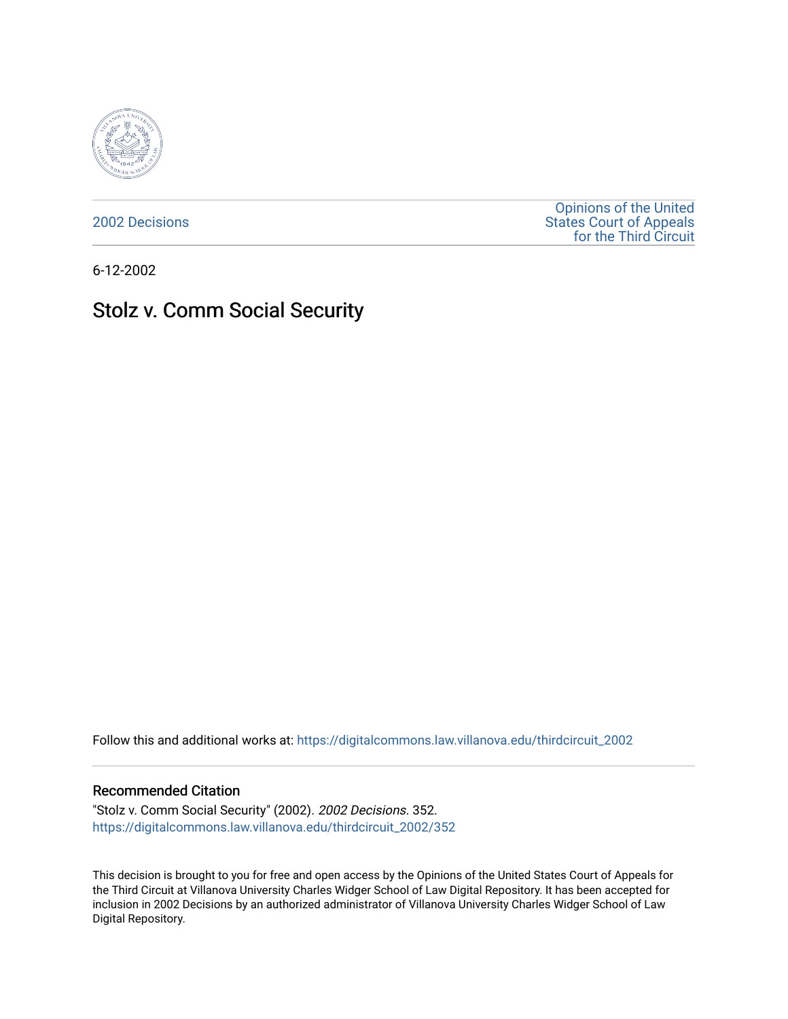

[2002 Decisions](https://digitalcommons.law.villanova.edu/thirdcircuit_2002)

[Opinions of the United](https://digitalcommons.law.villanova.edu/thirdcircuit)  [States Court of Appeals](https://digitalcommons.law.villanova.edu/thirdcircuit)  [for the Third Circuit](https://digitalcommons.law.villanova.edu/thirdcircuit) 

6-12-2002

## Stolz v. Comm Social Security

Follow this and additional works at: [https://digitalcommons.law.villanova.edu/thirdcircuit\\_2002](https://digitalcommons.law.villanova.edu/thirdcircuit_2002?utm_source=digitalcommons.law.villanova.edu%2Fthirdcircuit_2002%2F352&utm_medium=PDF&utm_campaign=PDFCoverPages) 

## Recommended Citation

"Stolz v. Comm Social Security" (2002). 2002 Decisions. 352. [https://digitalcommons.law.villanova.edu/thirdcircuit\\_2002/352](https://digitalcommons.law.villanova.edu/thirdcircuit_2002/352?utm_source=digitalcommons.law.villanova.edu%2Fthirdcircuit_2002%2F352&utm_medium=PDF&utm_campaign=PDFCoverPages)

This decision is brought to you for free and open access by the Opinions of the United States Court of Appeals for the Third Circuit at Villanova University Charles Widger School of Law Digital Repository. It has been accepted for inclusion in 2002 Decisions by an authorized administrator of Villanova University Charles Widger School of Law Digital Repository.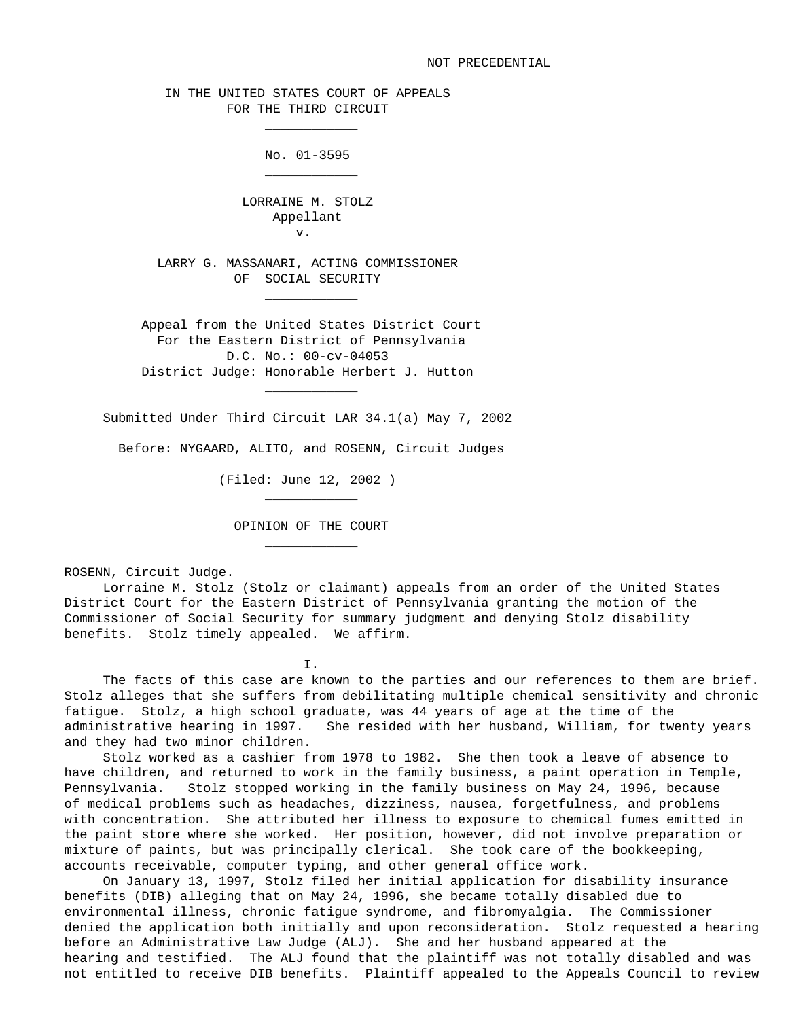IN THE UNITED STATES COURT OF APPEALS FOR THE THIRD CIRCUIT

\_\_\_\_\_\_\_\_\_\_\_\_

\_\_\_\_\_\_\_\_\_\_\_\_

\_\_\_\_\_\_\_\_\_\_\_\_

\_\_\_\_\_\_\_\_\_\_\_\_

\_\_\_\_\_\_\_\_\_\_\_\_

\_\_\_\_\_\_\_\_\_\_\_\_

No. 01-3595

 LORRAINE M. STOLZ Appellant v.

> LARRY G. MASSANARI, ACTING COMMISSIONER OF SOCIAL SECURITY

 Appeal from the United States District Court For the Eastern District of Pennsylvania D.C. No.: 00-cv-04053 District Judge: Honorable Herbert J. Hutton

Submitted Under Third Circuit LAR 34.1(a) May 7, 2002

Before: NYGAARD, ALITO, and ROSENN, Circuit Judges

(Filed: June 12, 2002 )

OPINION OF THE COURT

ROSENN, Circuit Judge.

 Lorraine M. Stolz (Stolz or claimant) appeals from an order of the United States District Court for the Eastern District of Pennsylvania granting the motion of the Commissioner of Social Security for summary judgment and denying Stolz disability benefits. Stolz timely appealed. We affirm.

 $\mathbf{I}$ . I.  $\mathbf{I}$ 

 The facts of this case are known to the parties and our references to them are brief. Stolz alleges that she suffers from debilitating multiple chemical sensitivity and chronic fatigue. Stolz, a high school graduate, was 44 years of age at the time of the administrative hearing in 1997. She resided with her husband, William, for twenty years and they had two minor children.

 Stolz worked as a cashier from 1978 to 1982. She then took a leave of absence to have children, and returned to work in the family business, a paint operation in Temple, Pennsylvania. Stolz stopped working in the family business on May 24, 1996, because of medical problems such as headaches, dizziness, nausea, forgetfulness, and problems with concentration. She attributed her illness to exposure to chemical fumes emitted in the paint store where she worked. Her position, however, did not involve preparation or mixture of paints, but was principally clerical. She took care of the bookkeeping, accounts receivable, computer typing, and other general office work.

 On January 13, 1997, Stolz filed her initial application for disability insurance benefits (DIB) alleging that on May 24, 1996, she became totally disabled due to environmental illness, chronic fatigue syndrome, and fibromyalgia. The Commissioner denied the application both initially and upon reconsideration. Stolz requested a hearing before an Administrative Law Judge (ALJ). She and her husband appeared at the hearing and testified. The ALJ found that the plaintiff was not totally disabled and was not entitled to receive DIB benefits. Plaintiff appealed to the Appeals Council to review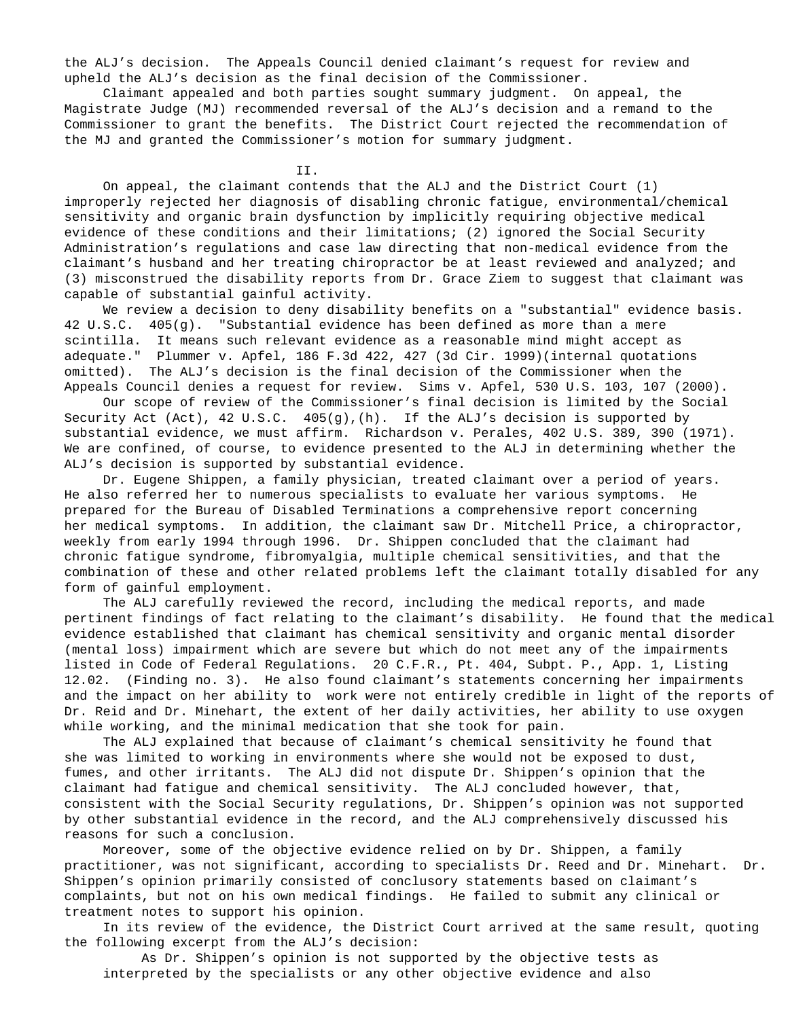the ALJ's decision. The Appeals Council denied claimant's request for review and upheld the ALJ's decision as the final decision of the Commissioner.

 Claimant appealed and both parties sought summary judgment. On appeal, the Magistrate Judge (MJ) recommended reversal of the ALJ's decision and a remand to the Commissioner to grant the benefits. The District Court rejected the recommendation of the MJ and granted the Commissioner's motion for summary judgment.

II.

 On appeal, the claimant contends that the ALJ and the District Court (1) improperly rejected her diagnosis of disabling chronic fatigue, environmental/chemical sensitivity and organic brain dysfunction by implicitly requiring objective medical evidence of these conditions and their limitations; (2) ignored the Social Security Administration's regulations and case law directing that non-medical evidence from the claimant's husband and her treating chiropractor be at least reviewed and analyzed; and (3) misconstrued the disability reports from Dr. Grace Ziem to suggest that claimant was capable of substantial gainful activity.

 We review a decision to deny disability benefits on a "substantial" evidence basis. 42 U.S.C. 405(g). "Substantial evidence has been defined as more than a mere scintilla. It means such relevant evidence as a reasonable mind might accept as adequate." Plummer v. Apfel, 186 F.3d 422, 427 (3d Cir. 1999)(internal quotations omitted). The ALJ's decision is the final decision of the Commissioner when the Appeals Council denies a request for review. Sims v. Apfel, 530 U.S. 103, 107 (2000).

 Our scope of review of the Commissioner's final decision is limited by the Social Security Act (Act), 42 U.S.C. 405(g),(h). If the ALJ's decision is supported by substantial evidence, we must affirm. Richardson v. Perales, 402 U.S. 389, 390 (1971). We are confined, of course, to evidence presented to the ALJ in determining whether the ALJ's decision is supported by substantial evidence.

 Dr. Eugene Shippen, a family physician, treated claimant over a period of years. He also referred her to numerous specialists to evaluate her various symptoms. He prepared for the Bureau of Disabled Terminations a comprehensive report concerning her medical symptoms. In addition, the claimant saw Dr. Mitchell Price, a chiropractor, weekly from early 1994 through 1996. Dr. Shippen concluded that the claimant had chronic fatigue syndrome, fibromyalgia, multiple chemical sensitivities, and that the combination of these and other related problems left the claimant totally disabled for any form of gainful employment.

 The ALJ carefully reviewed the record, including the medical reports, and made pertinent findings of fact relating to the claimant's disability. He found that the medical evidence established that claimant has chemical sensitivity and organic mental disorder (mental loss) impairment which are severe but which do not meet any of the impairments listed in Code of Federal Regulations. 20 C.F.R., Pt. 404, Subpt. P., App. 1, Listing 12.02. (Finding no. 3). He also found claimant's statements concerning her impairments and the impact on her ability to work were not entirely credible in light of the reports of Dr. Reid and Dr. Minehart, the extent of her daily activities, her ability to use oxygen while working, and the minimal medication that she took for pain.

 The ALJ explained that because of claimant's chemical sensitivity he found that she was limited to working in environments where she would not be exposed to dust, fumes, and other irritants. The ALJ did not dispute Dr. Shippen's opinion that the claimant had fatigue and chemical sensitivity. The ALJ concluded however, that, consistent with the Social Security regulations, Dr. Shippen's opinion was not supported by other substantial evidence in the record, and the ALJ comprehensively discussed his reasons for such a conclusion.

 Moreover, some of the objective evidence relied on by Dr. Shippen, a family practitioner, was not significant, according to specialists Dr. Reed and Dr. Minehart. Dr. Shippen's opinion primarily consisted of conclusory statements based on claimant's complaints, but not on his own medical findings. He failed to submit any clinical or treatment notes to support his opinion.

 In its review of the evidence, the District Court arrived at the same result, quoting the following excerpt from the ALJ's decision:

 As Dr. Shippen's opinion is not supported by the objective tests as interpreted by the specialists or any other objective evidence and also